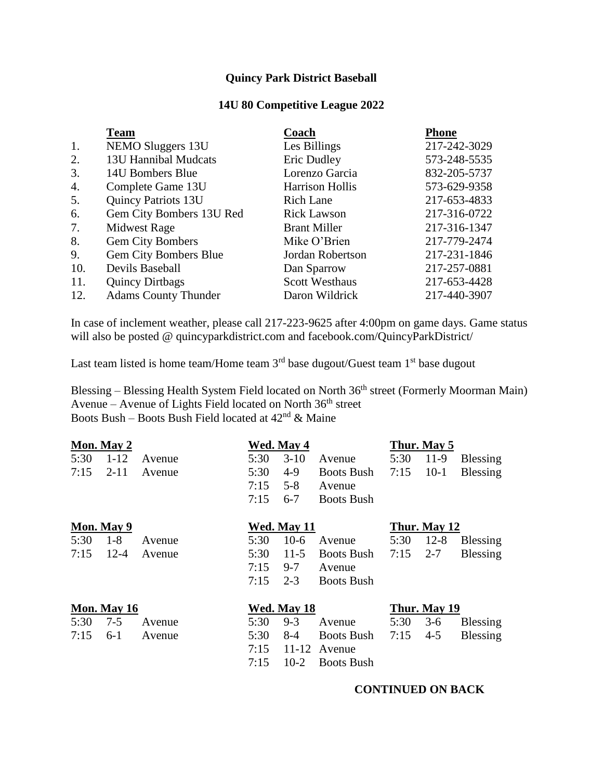## **Quincy Park District Baseball**

## **14U 80 Competitive League 2022**

|     | <b>Team</b>                  | Coach                  | <b>Phone</b> |
|-----|------------------------------|------------------------|--------------|
| 1.  | NEMO Sluggers 13U            | Les Billings           | 217-242-3029 |
| 2.  | 13U Hannibal Mudcats         | Eric Dudley            | 573-248-5535 |
| 3.  | 14U Bombers Blue             | Lorenzo Garcia         | 832-205-5737 |
| 4.  | Complete Game 13U            | <b>Harrison Hollis</b> | 573-629-9358 |
| 5.  | <b>Quincy Patriots 13U</b>   | <b>Rich Lane</b>       | 217-653-4833 |
| 6.  | Gem City Bombers 13U Red     | <b>Rick Lawson</b>     | 217-316-0722 |
| 7.  | <b>Midwest Rage</b>          | <b>Brant Miller</b>    | 217-316-1347 |
| 8.  | Gem City Bombers             | Mike O'Brien           | 217-779-2474 |
| 9.  | <b>Gem City Bombers Blue</b> | Jordan Robertson       | 217-231-1846 |
| 10. | Devils Baseball              | Dan Sparrow            | 217-257-0881 |
| 11. | <b>Quincy Dirtbags</b>       | <b>Scott Westhaus</b>  | 217-653-4428 |
| 12. | <b>Adams County Thunder</b>  | Daron Wildrick         | 217-440-3907 |

In case of inclement weather, please call 217-223-9625 after 4:00pm on game days. Game status will also be posted @ quincyparkdistrict.com and facebook.com/QuincyParkDistrict/

Last team listed is home team/Home team  $3<sup>rd</sup>$  base dugout/Guest team  $1<sup>st</sup>$  base dugout

Blessing – Blessing Health System Field located on North 36<sup>th</sup> street (Formerly Moorman Main) Avenue – Avenue of Lights Field located on North 36th street Boots Bush – Boots Bush Field located at  $42<sup>nd</sup>$  & Maine

|      | Mon. May 2  |        |      | Wed. May 4  |                   |      | Thur. May 5  |                 |
|------|-------------|--------|------|-------------|-------------------|------|--------------|-----------------|
| 5:30 | $1 - 12$    | Avenue | 5:30 | $3-10$      | Avenue            | 5:30 | $11-9$       | <b>Blessing</b> |
| 7:15 | $2 - 11$    | Avenue | 5:30 | $4-9$       | <b>Boots Bush</b> | 7:15 | $10-1$       | <b>Blessing</b> |
|      |             |        | 7:15 | $5 - 8$     | Avenue            |      |              |                 |
|      |             |        | 7:15 | $6 - 7$     | <b>Boots Bush</b> |      |              |                 |
|      | Mon. May 9  |        |      | Wed. May 11 |                   |      | Thur. May 12 |                 |
| 5:30 | $1 - 8$     | Avenue | 5:30 | $10-6$      | Avenue            | 5:30 | $12 - 8$     | <b>Blessing</b> |
| 7:15 | $12 - 4$    | Avenue | 5:30 | $11-5$      | <b>Boots Bush</b> | 7:15 | $2 - 7$      | <b>Blessing</b> |
|      |             |        | 7:15 | $9 - 7$     | Avenue            |      |              |                 |
|      |             |        | 7:15 | $2 - 3$     | <b>Boots Bush</b> |      |              |                 |
|      | Mon. May 16 |        |      | Wed. May 18 |                   |      | Thur. May 19 |                 |
| 5:30 | $7 - 5$     | Avenue | 5:30 | $9 - 3$     | Avenue            | 5:30 | $3-6$        | <b>Blessing</b> |
| 7:15 | $6-1$       | Avenue | 5:30 | $8-4$       | <b>Boots Bush</b> | 7:15 | $4 - 5$      | <b>Blessing</b> |
|      |             |        | 7:15 | 11-12       | Avenue            |      |              |                 |
|      |             |        | 7:15 | $10-2$      | <b>Boots Bush</b> |      |              |                 |

## **CONTINUED ON BACK**